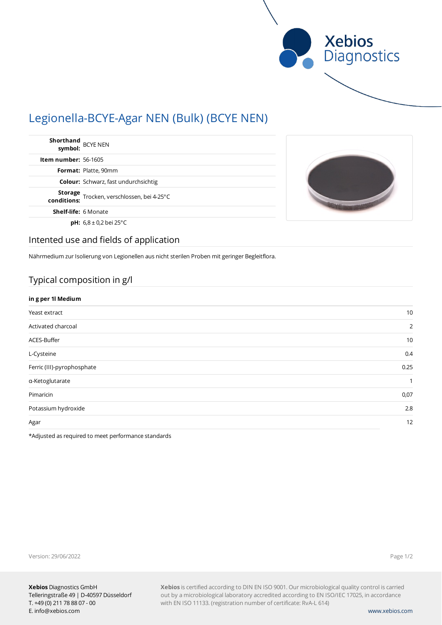

# Legionella-BCYE-Agar NEN (Bulk) (BCYE NEN)

| Shorthand<br>symbol: BCYE NEN                              |  |
|------------------------------------------------------------|--|
| <b>Item number: 56-1605</b>                                |  |
| Format: Platte, 90mm                                       |  |
| <b>Colour:</b> Schwarz, fast undurchsichtig                |  |
| Storage<br>rocken, verschlossen, bei 4-25°C<br>conditions: |  |
| <b>Shelf-life: 6 Monate</b>                                |  |
| <b>pH:</b> $6.8 \pm 0.2$ bei 25°C                          |  |



### Intented use and fields of application

Nährmedium zur Isolierung von Legionellen aus nicht sterilen Proben mit geringer Begleitflora.

# Typical composition in g/l

| in g per 1l Medium         |              |
|----------------------------|--------------|
| Yeast extract              | 10           |
| Activated charcoal         | 2            |
| ACES-Buffer                | 10           |
| L-Cysteine                 | 0.4          |
| Ferric (III)-pyrophosphate | 0.25         |
| a-Ketoglutarate            | $\mathbf{1}$ |
| Pimaricin                  | 0,07         |
| Potassium hydroxide        | 2.8          |
| Agar                       | 12           |

\*Adjusted as required to meet performance standards

Version: 29/06/2022

Page 1/2

**Xebios** is certified according to DIN EN ISO 9001. Our microbiological quality control is carried out by a microbiological laboratory accredited according to EN ISO/IEC 17025, in accordance with EN ISO 11133. (registration number of certificate: RvA-L 614)